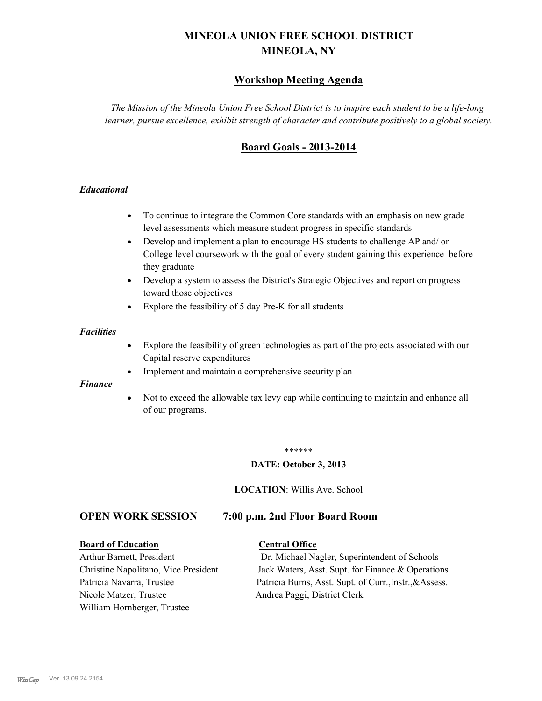# **MINEOLA UNION FREE SCHOOL DISTRICT MINEOLA, NY**

## **Workshop Meeting Agenda**

*The Mission of the Mineola Union Free School District is to inspire each student to be a life-long learner, pursue excellence, exhibit strength of character and contribute positively to a global society.*

# **Board Goals - 2013-2014**

#### *Educational*

- · To continue to integrate the Common Core standards with an emphasis on new grade level assessments which measure student progress in specific standards
- · Develop and implement a plan to encourage HS students to challenge AP and/ or College level coursework with the goal of every student gaining this experience before they graduate
- Develop a system to assess the District's Strategic Objectives and report on progress toward those objectives
- · Explore the feasibility of 5 day Pre-K for all students

#### *Facilities*

- · Explore the feasibility of green technologies as part of the projects associated with our Capital reserve expenditures
- Implement and maintain a comprehensive security plan

#### *Finance*

• Not to exceed the allowable tax levy cap while continuing to maintain and enhance all of our programs.

#### \*\*\*\*\*\*

#### **DATE: October 3, 2013**

**LOCATION**: Willis Ave. School

## **OPEN WORK SESSION 7:00 p.m. 2nd Floor Board Room**

#### **Board of Education Central Office**

Nicole Matzer, Trustee Andrea Paggi, District Clerk William Hornberger, Trustee

Arthur Barnett, President Dr. Michael Nagler, Superintendent of Schools Christine Napolitano, Vice President Jack Waters, Asst. Supt. for Finance & Operations Patricia Navarra, Trustee Patricia Burns, Asst. Supt. of Curr., Instr., &Assess.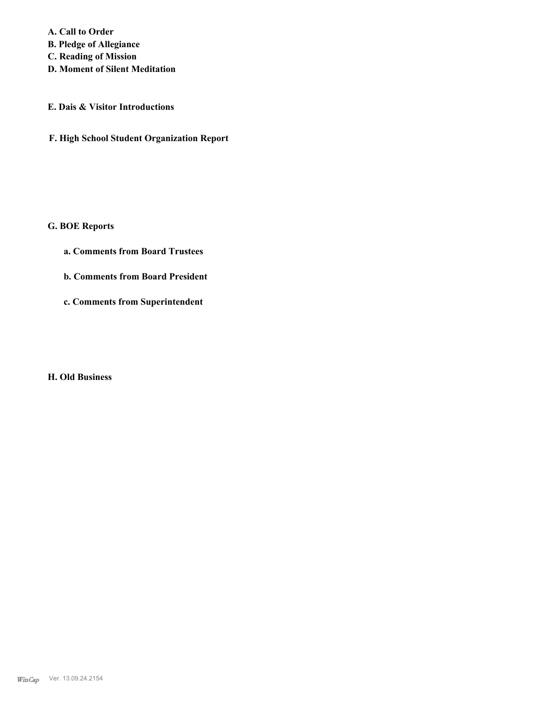**A. Call to Order B. Pledge of Allegiance C. Reading of Mission**

**D. Moment of Silent Meditation**

#### **E. Dais & Visitor Introductions**

**F. High School Student Organization Report**

## **G. BOE Reports**

- **a. Comments from Board Trustees**
- **b. Comments from Board President**
- **c. Comments from Superintendent**

## **H. Old Business**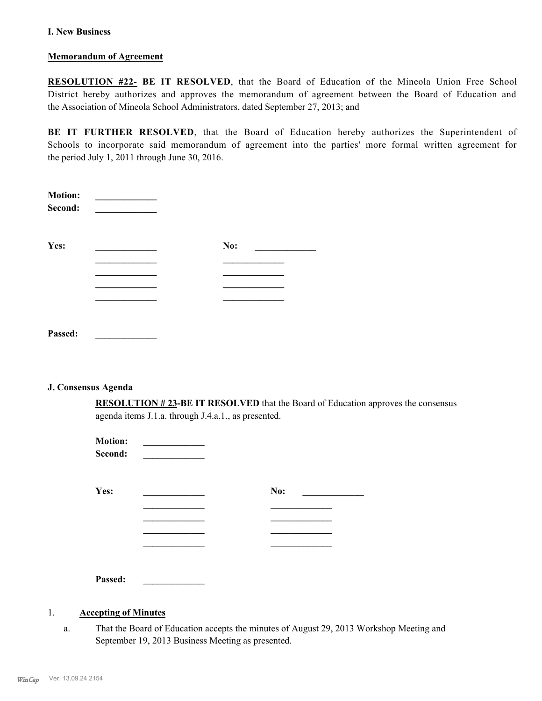#### **I. New Business**

#### **Memorandum of Agreement**

**RESOLUTION #22- BE IT RESOLVED**, that the Board of Education of the Mineola Union Free School District hereby authorizes and approves the memorandum of agreement between the Board of Education and the Association of Mineola School Administrators, dated September 27, 2013; and

**BE IT FURTHER RESOLVED**, that the Board of Education hereby authorizes the Superintendent of Schools to incorporate said memorandum of agreement into the parties' more formal written agreement for the period July 1, 2011 through June 30, 2016.

| <b>Motion:</b><br>Second: |     |
|---------------------------|-----|
| Yes:                      | No: |
|                           |     |
|                           |     |
|                           |     |
|                           |     |
| Passed:                   |     |

#### **J. Consensus Agenda**

**RESOLUTION # 23-BE IT RESOLVED** that the Board of Education approves the consensus agenda items J.1.a. through J.4.a.1., as presented.

| <b>Motion:</b><br>Second: |     |  |
|---------------------------|-----|--|
| Yes:                      | No: |  |
|                           |     |  |
|                           |     |  |
| Passed:                   |     |  |

## 1. **Accepting of Minutes**

That the Board of Education accepts the minutes of August 29, 2013 Workshop Meeting and September 19, 2013 Business Meeting as presented. a.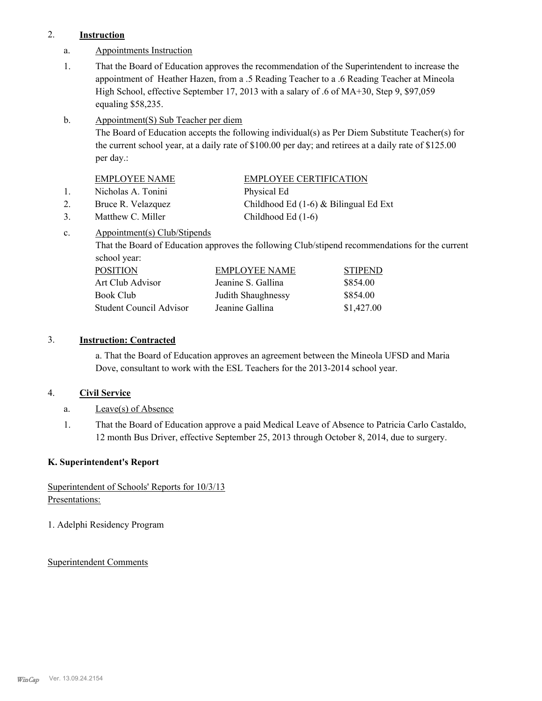### 2. **Instruction**

- a. Appointments Instruction
- That the Board of Education approves the recommendation of the Superintendent to increase the appointment of Heather Hazen, from a .5 Reading Teacher to a .6 Reading Teacher at Mineola High School, effective September 17, 2013 with a salary of .6 of MA+30, Step 9, \$97,059 equaling \$58,235. 1.
- Appointment(S) Sub Teacher per diem b.

The Board of Education accepts the following individual(s) as Per Diem Substitute Teacher(s) for the current school year, at a daily rate of \$100.00 per day; and retirees at a daily rate of \$125.00 per day.:

| <b>EMPLOYEE NAME</b> | EMPLOYEE CERTIFICATION |
|----------------------|------------------------|
| Nicholas A. Tonini   | Physical Ed            |

2. Bruce R. Velazquez Childhood Ed (1-6) & Bilingual Ed Ext

3. Matthew C. Miller Childhood Ed (1-6)

Appointment(s) Club/Stipends c.

> That the Board of Education approves the following Club/stipend recommendations for the current school year:

| <b>POSITION</b>         | EMPLOYEE NAME      | <b>STIPEND</b> |
|-------------------------|--------------------|----------------|
| Art Club Advisor        | Jeanine S. Gallina | \$854.00       |
| Book Club               | Judith Shaughnessy | \$854.00       |
| Student Council Advisor | Jeanine Gallina    | \$1,427.00     |

## 3. **Instruction: Contracted**

a. That the Board of Education approves an agreement between the Mineola UFSD and Maria Dove, consultant to work with the ESL Teachers for the 2013-2014 school year.

## 4. **Civil Service**

- a. Leave(s) of Absence
- That the Board of Education approve a paid Medical Leave of Absence to Patricia Carlo Castaldo, 12 month Bus Driver, effective September 25, 2013 through October 8, 2014, due to surgery. 1.

## **K. Superintendent's Report**

# Superintendent of Schools' Reports for 10/3/13 Presentations:

1. Adelphi Residency Program

## Superintendent Comments